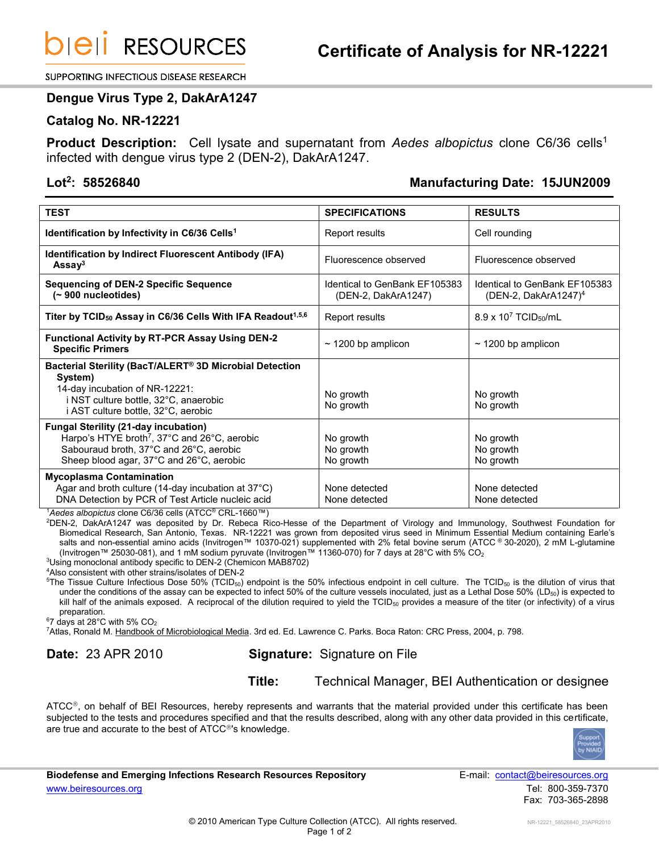**DIEII RESOURCES** 

SUPPORTING INFECTIOUS DISEASE RESEARCH

#### **Dengue Virus Type 2, DakArA1247**

#### **Catalog No. NR-12221**

**Product Description:** Cell lysate and supernatant from *Aedes albopictus* clone C6/36 cells<sup>1</sup> infected with dengue virus type 2 (DEN-2), DakArA1247.

### **Lot<sup>2</sup>**

# **: 58526840 Manufacturing Date: 15JUN2009**

| <b>TEST</b>                                                                                                                                                                                      | <b>SPECIFICATIONS</b>                                | <b>RESULTS</b>                                                    |
|--------------------------------------------------------------------------------------------------------------------------------------------------------------------------------------------------|------------------------------------------------------|-------------------------------------------------------------------|
| Identification by Infectivity in C6/36 Cells <sup>1</sup>                                                                                                                                        | Report results                                       | Cell rounding                                                     |
| <b>Identification by Indirect Fluorescent Antibody (IFA)</b><br>Assay <sup>3</sup>                                                                                                               | Fluorescence observed                                | Fluorescence observed                                             |
| <b>Sequencing of DEN-2 Specific Sequence</b><br>$($ ~ 900 nucleotides)                                                                                                                           | Identical to GenBank EF105383<br>(DEN-2, DakArA1247) | Identical to GenBank EF105383<br>(DEN-2, DakArA1247) <sup>4</sup> |
| Titer by TCID <sub>50</sub> Assay in C6/36 Cells With IFA Readout <sup>1,5,6</sup>                                                                                                               | Report results                                       | 8.9 x 10 <sup>7</sup> TCID <sub>50</sub> /mL                      |
| <b>Functional Activity by RT-PCR Assay Using DEN-2</b><br><b>Specific Primers</b>                                                                                                                | $\sim$ 1200 bp amplicon                              | $\sim$ 1200 bp amplicon                                           |
| Bacterial Sterility (BacT/ALERT <sup>®</sup> 3D Microbial Detection<br>System)<br>14-day incubation of NR-12221:<br>i NST culture bottle, 32°C, anaerobic<br>i AST culture bottle, 32°C, aerobic | No growth<br>No growth                               | No growth<br>No growth                                            |
| <b>Fungal Sterility (21-day incubation)</b><br>Harpo's HTYE broth <sup>7</sup> , 37°C and 26°C, aerobic<br>Sabouraud broth, 37°C and 26°C, aerobic<br>Sheep blood agar, 37°C and 26°C, aerobic   | No growth<br>No growth<br>No growth                  | No growth<br>No growth<br>No growth                               |
| <b>Mycoplasma Contamination</b><br>Agar and broth culture (14-day incubation at 37°C)<br>DNA Detection by PCR of Test Article nucleic acid                                                       | None detected<br>None detected                       | None detected<br>None detected                                    |

<sup>1</sup>*Aedes albopictus* clone C6/36 cells (ATCC® CRL-1660™)

<sup>2</sup>DEN-2, DakArA1247 was deposited by Dr. Rebeca Rico-Hesse of the Department of Virology and Immunology, Southwest Foundation for Biomedical Research, San Antonio, Texas. NR-12221 was grown from deposited virus seed in Minimum Essential Medium containing Earle's salts and non-essential amino acids (Invitrogen™ 10370-021) supplemented with 2% fetal bovine serum (ATCC ® 30-2020), 2 mM L-glutamine (Invitrogen™ 25030-081), and 1 mM sodium pyruvate (Invitrogen™ 11360-070) for 7 days at 28°C with 5% CO<sub>2</sub>

<sup>3</sup>Using monoclonal antibody specific to DEN-2 (Chemicon MAB8702)

<sup>4</sup>Also consistent with other strains/isolates of DEN-2

<sup>5</sup>The Tissue Culture Infectious Dose 50% (TCID<sub>50</sub>) endpoint is the 50% infectious endpoint in cell culture. The TCID<sub>50</sub> is the dilution of virus that under the conditions of the assay can be expected to infect 50% of the culture vessels inoculated, just as a Lethal Dose 50% (LD $_{50}$ ) is expected to kill half of the animals exposed. A reciprocal of the dilution required to yield the TCID<sub>50</sub> provides a measure of the titer (or infectivity) of a virus preparation.

 $67$  days at 28 $^{\circ}$ C with 5% CO<sub>2</sub>

<sup>7</sup>Atlas, Ronald M. Handbook of Microbiological Media. 3rd ed. Ed. Lawrence C. Parks. Boca Raton: CRC Press, 2004, p. 798.

## **Date:** 23 APR 2010 **Signature:** Signature on File

**Title:** Technical Manager, BEI Authentication or designee

 $\tt ATCC<sup>®</sup>$ , on behalf of BEI Resources, hereby represents and warrants that the material provided under this certificate has been subjected to the tests and procedures specified and that the results described, along with any other data provided in this certificate, are true and accurate to the best of ATCC<sup>®</sup>'s knowledge.



**Biodefense and Emerging Infections Research Resources Repository E-mail: [contact@beiresources.org](mailto:contact@beiresources.org)** [www.beiresources.org](http://www.beiresources.org/) Tel: 800-359-7370

Fax: 703-365-2898